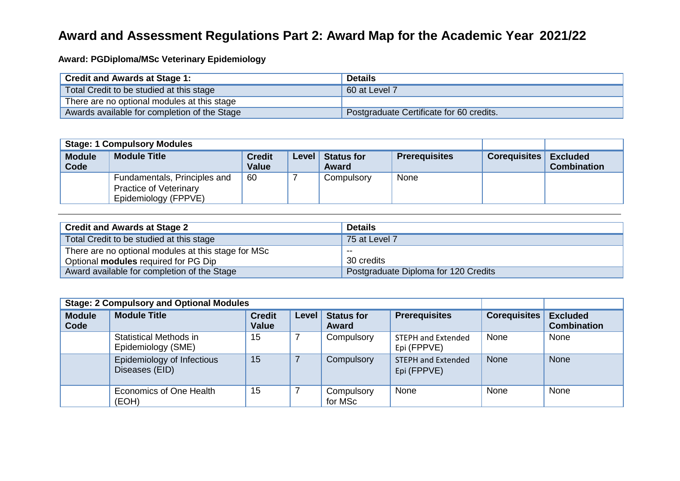## **Award and Assessment Regulations Part 2: Award Map for the Academic Year 2021/22**

**Award: PGDiploma/MSc Veterinary Epidemiology**

| <b>Credit and Awards at Stage 1:</b>         | <b>Details</b>                           |
|----------------------------------------------|------------------------------------------|
| Total Credit to be studied at this stage     | 60 at Level 7                            |
| There are no optional modules at this stage  |                                          |
| Awards available for completion of the Stage | Postgraduate Certificate for 60 credits. |

| <b>Stage: 1 Compulsory Modules</b> |                                                                                       |                               |              |                            |                      |                     |                                       |
|------------------------------------|---------------------------------------------------------------------------------------|-------------------------------|--------------|----------------------------|----------------------|---------------------|---------------------------------------|
| <b>Module</b><br>Code              | <b>Module Title</b>                                                                   | <b>Credit</b><br><b>Value</b> | <b>Level</b> | <b>Status for</b><br>Award | <b>Prerequisites</b> | <b>Corequisites</b> | <b>Excluded</b><br><b>Combination</b> |
|                                    | Fundamentals, Principles and<br><b>Practice of Veterinary</b><br>Epidemiology (FPPVE) | -60                           |              | Compulsory                 | None                 |                     |                                       |

| <b>Credit and Awards at Stage 2</b>                 | <b>Details</b>                       |
|-----------------------------------------------------|--------------------------------------|
| Total Credit to be studied at this stage            | 75 at Level 7                        |
| There are no optional modules at this stage for MSc | --                                   |
| Optional <b>modules</b> required for PG Dip         | 30 credits                           |
| Award available for completion of the Stage         | Postgraduate Diploma for 120 Credits |

| <b>Stage: 2 Compulsory and Optional Modules</b> |                                                     |                               |       |                            |                                          |                     |                                       |
|-------------------------------------------------|-----------------------------------------------------|-------------------------------|-------|----------------------------|------------------------------------------|---------------------|---------------------------------------|
| <b>Module</b><br>Code                           | <b>Module Title</b>                                 | <b>Credit</b><br><b>Value</b> | Level | <b>Status for</b><br>Award | <b>Prerequisites</b>                     | <b>Corequisites</b> | <b>Excluded</b><br><b>Combination</b> |
|                                                 | <b>Statistical Methods in</b><br>Epidemiology (SME) | 15                            |       | Compulsory                 | <b>STEPH and Extended</b><br>Epi (FPPVE) | None                | None                                  |
|                                                 | Epidemiology of Infectious<br>Diseases (EID)        | 15                            |       | Compulsory                 | <b>STEPH and Extended</b><br>Epi (FPPVE) | <b>None</b>         | None                                  |
|                                                 | Economics of One Health<br>(EOH)                    | 15                            |       | Compulsory<br>for MSc      | None                                     | None                | None                                  |